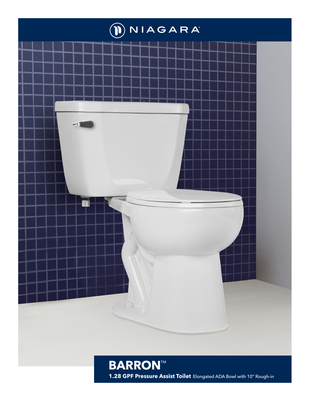

1.28 GPF Pressure Assist Toilet Elongated ADA Bowl with 10" Rough-in